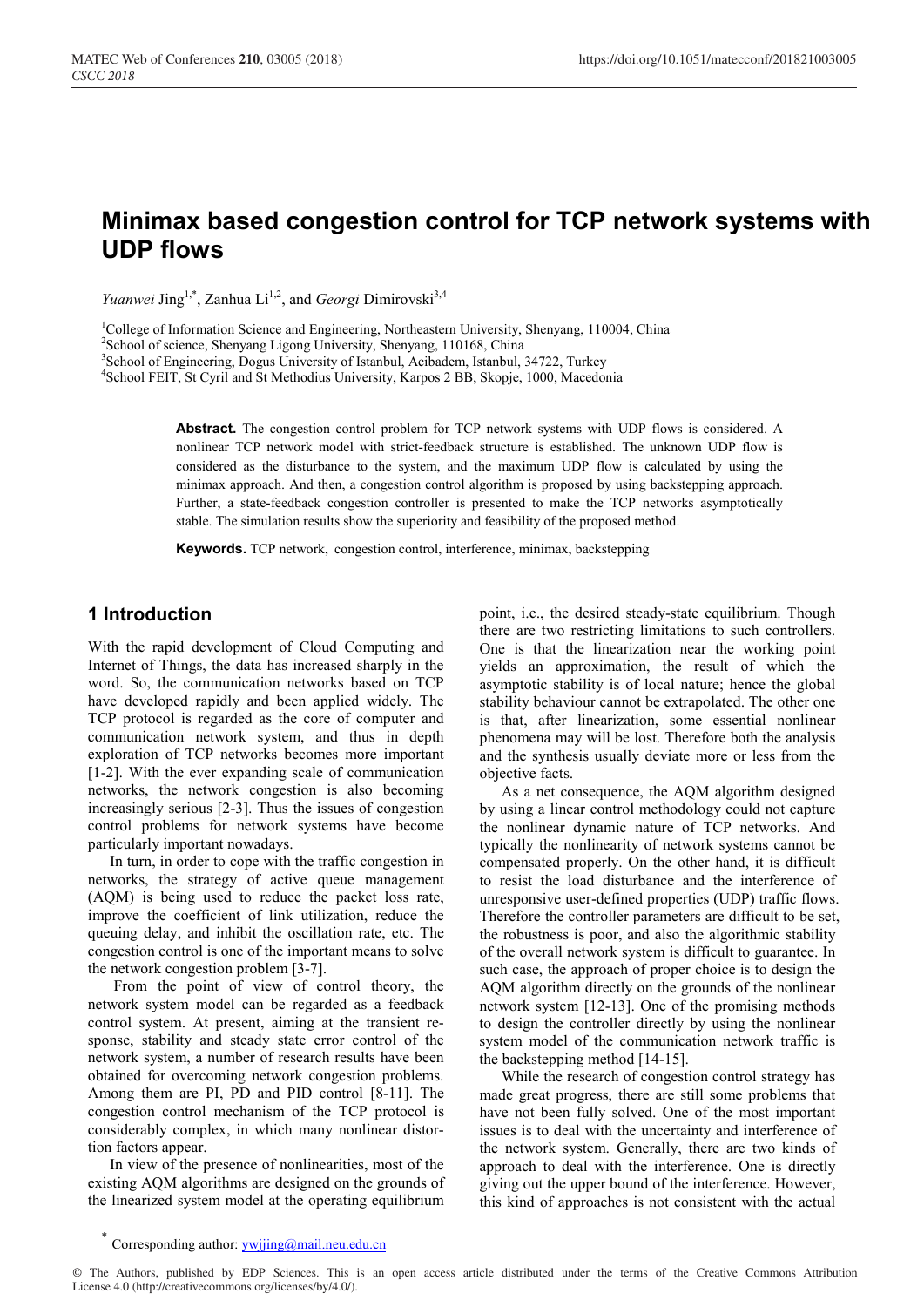# **Minimax based congestion control for TCP network systems with UDP flows**

*Yuanwei* Jing<sup>1,\*</sup>, Zanhua Li<sup>1,2</sup>, and *Georgi* Dimirovski<sup>3,4</sup>

<sup>1</sup>College of Information Science and Engineering, Northeastern University, Shenyang, 110004, China <sup>2</sup>School of science, Shenyang Ligong University, Shenyang, 110168, China

<sup>2</sup>School of science, Shenyang Ligong University, Shenyang, 110168, China

<sup>3</sup>School of Engineering, Dogus University of Istanbul, Acibadem, Istanbul, 34722, Turkey

<sup>4</sup>School FEIT, St Cyril and St Methodius University, Karpos 2 BB, Skopje, 1000, Macedonia

**Abstract.** The congestion control problem for TCP network systems with UDP flows is considered. A nonlinear TCP network model with strict-feedback structure is established. The unknown UDP flow is considered as the disturbance to the system, and the maximum UDP flow is calculated by using the minimax approach. And then, a congestion control algorithm is proposed by using backstepping approach. Further, a state-feedback congestion controller is presented to make the TCP networks asymptotically stable. The simulation results show the superiority and feasibility of the proposed method.

**Keywords.** TCP network, congestion control, interference, minimax, backstepping

# **1 Introduction**

With the rapid development of Cloud Computing and Internet of Things, the data has increased sharply in the word. So, the communication networks based on TCP have developed rapidly and been applied widely. The TCP protocol is regarded as the core of computer and communication network system, and thus in depth exploration of TCP networks becomes more important [1-2]. With the ever expanding scale of communication networks, the network congestion is also becoming increasingly serious [2-3]. Thus the issues of congestion control problems for network systems have become particularly important nowadays.

In turn, in order to cope with the traffic congestion in networks, the strategy of active queue management (AQM) is being used to reduce the packet loss rate, improve the coefficient of link utilization, reduce the queuing delay, and inhibit the oscillation rate, etc. The congestion control is one of the important means to solve the network congestion problem [3-7].

From the point of view of control theory, the network system model can be regarded as a feedback control system. At present, aiming at the transient response, stability and steady state error control of the network system, a number of research results have been obtained for overcoming network congestion problems. Among them are PI, PD and PID control [8-11]. The congestion control mechanism of the TCP protocol is considerably complex, in which many nonlinear distortion factors appear.

In view of the presence of nonlinearities, most of the existing AQM algorithms are designed on the grounds of the linearized system model at the operating equilibrium

point, i.e., the desired steady-state equilibrium. Though there are two restricting limitations to such controllers. One is that the linearization near the working point yields an approximation, the result of which the asymptotic stability is of local nature; hence the global stability behaviour cannot be extrapolated. The other one is that, after linearization, some essential nonlinear phenomena may will be lost. Therefore both the analysis and the synthesis usually deviate more or less from the objective facts.

As a net consequence, the AQM algorithm designed by using a linear control methodology could not capture the nonlinear dynamic nature of TCP networks. And typically the nonlinearity of network systems cannot be compensated properly. On the other hand, it is difficult to resist the load disturbance and the interference of unresponsive user-defined properties (UDP) traffic flows. Therefore the controller parameters are difficult to be set, the robustness is poor, and also the algorithmic stability of the overall network system is difficult to guarantee. In such case, the approach of proper choice is to design the AQM algorithm directly on the grounds of the nonlinear network system [12-13]. One of the promising methods to design the controller directly by using the nonlinear system model of the communication network traffic is the backstepping method [14-15].

While the research of congestion control strategy has made great progress, there are still some problems that have not been fully solved. One of the most important issues is to deal with the uncertainty and interference of the network system. Generally, there are two kinds of approach to deal with the interference. One is directly giving out the upper bound of the interference. However, this kind of approaches is not consistent with the actual

<sup>\*</sup> Corresponding author: ywjjing@mail.neu.edu.cn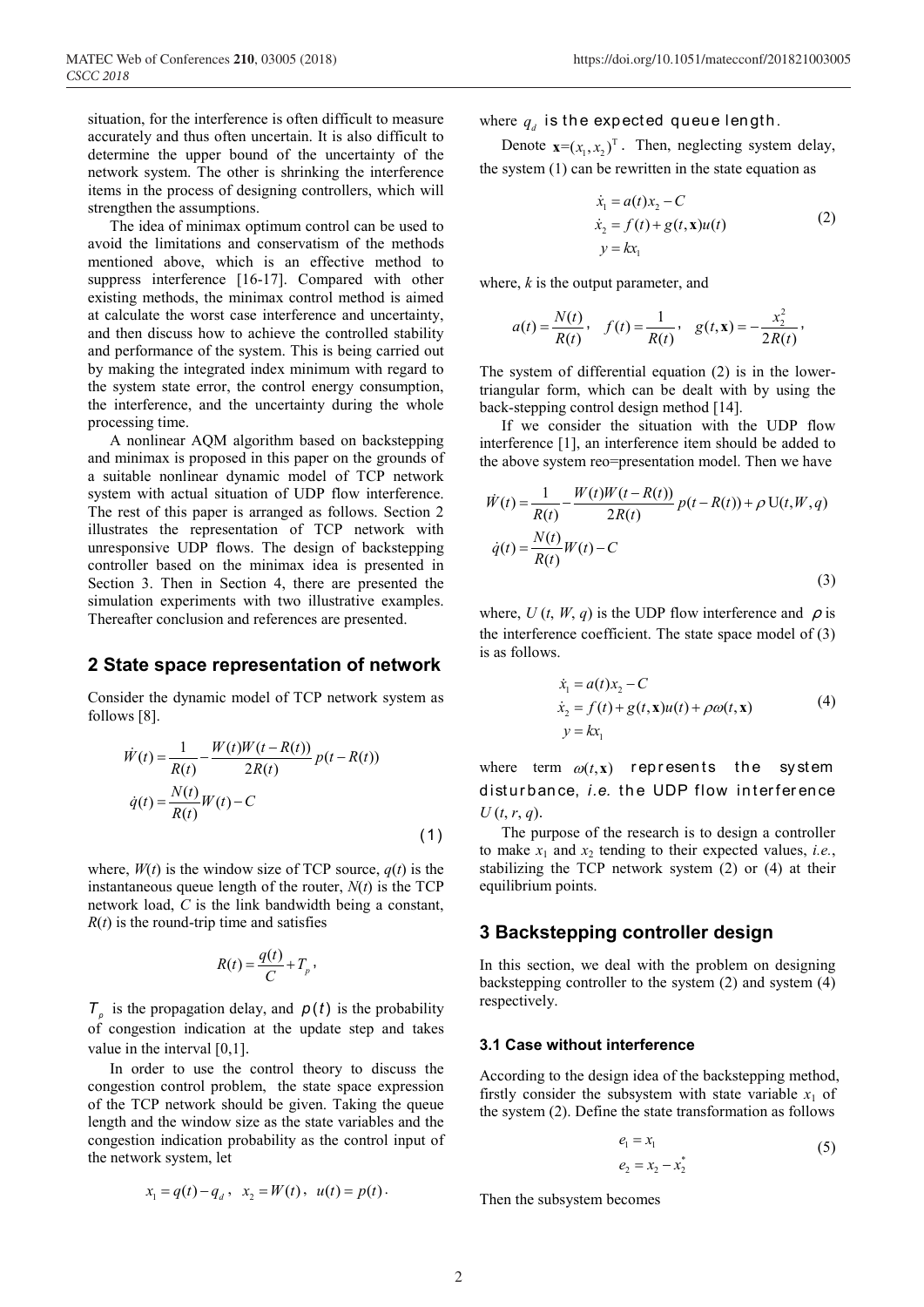situation, for the interference is often difficult to measure accurately and thus often uncertain. It is also difficult to determine the upper bound of the uncertainty of the network system. The other is shrinking the interference items in the process of designing controllers, which will strengthen the assumptions.

The idea of minimax optimum control can be used to avoid the limitations and conservatism of the methods mentioned above, which is an effective method to suppress interference [16-17]. Compared with other existing methods, the minimax control method is aimed at calculate the worst case interference and uncertainty, and then discuss how to achieve the controlled stability and performance of the system. This is being carried out by making the integrated index minimum with regard to the system state error, the control energy consumption, the interference, and the uncertainty during the whole processing time.

A nonlinear AQM algorithm based on backstepping and minimax is proposed in this paper on the grounds of a suitable nonlinear dynamic model of TCP network system with actual situation of UDP flow interference. The rest of this paper is arranged as follows. Section 2 illustrates the representation of TCP network with unresponsive UDP flows. The design of backstepping controller based on the minimax idea is presented in Section 3. Then in Section 4, there are presented the simulation experiments with two illustrative examples. Thereafter conclusion and references are presented.

## **2 State space representation of network**

Consider the dynamic model of TCP network system as follows [8].

$$
\dot{W}(t) = \frac{1}{R(t)} - \frac{W(t)W(t - R(t))}{2R(t)} p(t - R(t))
$$

$$
\dot{q}(t) = \frac{N(t)}{R(t)} W(t) - C
$$
\n(1)

where,  $W(t)$  is the window size of TCP source,  $q(t)$  is the instantaneous queue length of the router,  $N(t)$  is the TCP network load, *C* is the link bandwidth being a constant,  $R(t)$  is the round-trip time and satisfies

$$
R(t) = \frac{q(t)}{C} + T_p,
$$

 $T_p$  is the propagation delay, and  $p(t)$  is the probability of congestion indication at the update step and takes value in the interval [0,1].

In order to use the control theory to discuss the congestion control problem, the state space expression of the TCP network should be given. Taking the queue length and the window size as the state variables and the congestion indication probability as the control input of the network system, let

$$
x_1 = q(t) - q_d, \quad x_2 = W(t), \quad u(t) = p(t).
$$

## where  $q_d$  is the expected queue length.

Denote  $\mathbf{x} = (x_1, x_2)^\text{T}$ . Then, neglecting system delay, the system (1) can be rewritten in the state equation as

$$
\dot{x}_1 = a(t)x_2 - C \n\dot{x}_2 = f(t) + g(t, \mathbf{x})u(t) \ny = kx_1
$$
\n(2)

where, *k* is the output parameter, and

$$
a(t) = \frac{N(t)}{R(t)}, \quad f(t) = \frac{1}{R(t)}, \quad g(t, \mathbf{x}) = -\frac{x_2^2}{2R(t)},
$$

The system of differential equation (2) is in the lowertriangular form, which can be dealt with by using the back-stepping control design method [14].

If we consider the situation with the UDP flow interference [1], an interference item should be added to the above system reo=presentation model. Then we have

$$
\dot{W}(t) = \frac{1}{R(t)} - \frac{W(t)W(t - R(t))}{2R(t)} p(t - R(t)) + \rho U(t, W, q)
$$
  

$$
\dot{q}(t) = \frac{N(t)}{R(t)} W(t) - C
$$
\n(3)

where,  $U(t, W, q)$  is the UDP flow interference and  $\rho$  is the interference coefficient. The state space model of (3) is as follows.

$$
\dot{x}_1 = a(t)x_2 - C
$$
  
\n
$$
\dot{x}_2 = f(t) + g(t, \mathbf{x})u(t) + \rho \omega(t, \mathbf{x})
$$
\n
$$
y = kx_1
$$
\n(4)

where term  $\omega(t, x)$  represents the system disturbance, *i.e.* the UDP flow interference *U* (*t*, *r*, *q*).

The purpose of the research is to design a controller to make *x*<sup>1</sup> and *x*<sup>2</sup> tending to their expected values, *i.e.*, stabilizing the TCP network system (2) or (4) at their equilibrium points.

# **3 Backstepping controller design**

In this section, we deal with the problem on designing backstepping controller to the system (2) and system (4) respectively.

### **3.1 Case without interference**

According to the design idea of the backstepping method, firstly consider the subsystem with state variable  $x_1$  of the system (2). Define the state transformation as follows

$$
e_1 = x_1 \ne_2 = x_2 - x_2^*
$$
\n(5)

Then the subsystem becomes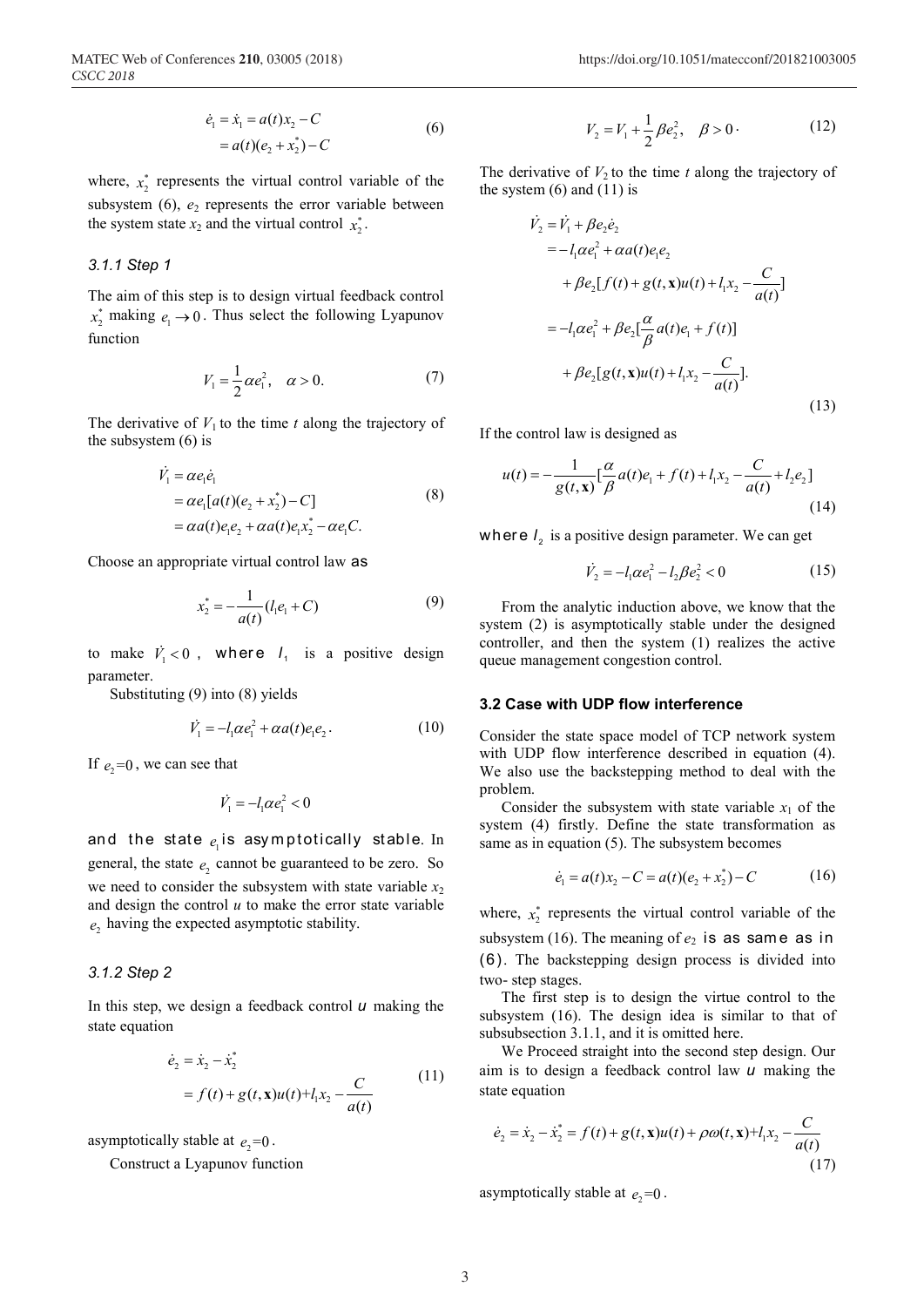$$
\dot{e}_1 = \dot{x}_1 = a(t)x_2 - C \n= a(t)(e_2 + x_2^*) - C
$$
\n(6)

where,  $x_2^*$  represents the virtual control variable of the subsystem  $(6)$ ,  $e_2$  represents the error variable between the system state  $x_2$  and the virtual control  $x_2^*$ .

## *3.1.1 Step 1*

The aim of this step is to design virtual feedback control  $x_2^*$  making  $e_1 \rightarrow 0$ . Thus select the following Lyapunov function

$$
V_1 = \frac{1}{2}\alpha e_1^2, \quad \alpha > 0.
$$
 (7)

The derivative of  $V_1$  to the time  $t$  along the trajectory of the subsystem (6) is

$$
\dot{V}_1 = \alpha e_1 \dot{e}_1 \n= \alpha e_1 [a(t)(e_2 + x_2^*) - C] \n= \alpha a(t) e_1 e_2 + \alpha a(t) e_1 x_2^* - \alpha e_1 C.
$$
\n(8)

Choose an appropriate virtual control law as

$$
x_2^* = -\frac{1}{a(t)}(l_1 e_1 + C)
$$
\n(9)

to make  $\dot{V}_1 < 0$ , where  $I_1$  is a positive design parameter.

Substituting (9) into (8) yields

$$
\dot{V}_1 = -l_1 \alpha e_1^2 + \alpha a(t) e_1 e_2. \tag{10}
$$

If  $e_2=0$ , we can see that

$$
\dot{V}_1 = -l_1 \alpha e_1^2 < 0
$$

and the state  $e_i$  is asymptotically stable. In general, the state  $e_2$  cannot be guaranteed to be zero. So we need to consider the subsystem with state variable  $x_2$ and design the control  $u$  to make the error state variable  $e_2$  having the expected asymptotic stability.

#### *3.1.2 Step 2*

In this step, we design a feedback control *u* making the state equation

$$
\dot{e}_2 = \dot{x}_2 - \dot{x}_2^*
$$
  
=  $f(t) + g(t, \mathbf{x})u(t) + l_1 x_2 - \frac{C}{a(t)}$  (11)

asymptotically stable at  $e_2=0$ .

Construct a Lyapunov function

$$
V_2 = V_1 + \frac{1}{2}\beta e_2^2, \quad \beta > 0.
$$
 (12)

The derivative of  $V_2$  to the time *t* along the trajectory of the system  $(6)$  and  $(11)$  is

$$
\dot{V}_2 = \dot{V}_1 + \beta e_2 \dot{e}_2 \n= -l_1 \alpha e_1^2 + \alpha a(t) e_1 e_2 \n+ \beta e_2[f(t) + g(t, \mathbf{x})u(t) + l_1 x_2 - \frac{C}{a(t)}] \n= -l_1 \alpha e_1^2 + \beta e_2 [\frac{\alpha}{\beta} a(t) e_1 + f(t)] \n+ \beta e_2[g(t, \mathbf{x})u(t) + l_1 x_2 - \frac{C}{a(t)}].
$$
\n(13)

If the control law is designed as

$$
u(t) = -\frac{1}{g(t, \mathbf{x})} \left[ \frac{\alpha}{\beta} a(t) e_1 + f(t) + l_1 x_2 - \frac{C}{a(t)} + l_2 e_2 \right]
$$
\n(14)

where  $l_2$  is a positive design parameter. We can get

$$
\dot{V}_2 = -l_1 \alpha e_1^2 - l_2 \beta e_2^2 < 0 \tag{15}
$$

From the analytic induction above, we know that the system (2) is asymptotically stable under the designed controller, and then the system (1) realizes the active queue management congestion control.

#### **3.2 Case with UDP flow interference**

Consider the state space model of TCP network system with UDP flow interference described in equation (4). We also use the backstepping method to deal with the problem.

Consider the subsystem with state variable  $x_1$  of the system (4) firstly. Define the state transformation as same as in equation (5). The subsystem becomes

$$
\dot{e}_1 = a(t)x_2 - C = a(t)(e_2 + x_2^*) - C \tag{16}
$$

where,  $x_2^*$  represents the virtual control variable of the subsystem (16). The meaning of  $e_2$  is as same as in (6). The backstepping design process is divided into two- step stages.

The first step is to design the virtue control to the subsystem (16). The design idea is similar to that of subsubsection 3.1.1, and it is omitted here.

We Proceed straight into the second step design. Our aim is to design a feedback control law *u* making the state equation

$$
\dot{e}_2 = \dot{x}_2 - \dot{x}_2^* = f(t) + g(t, \mathbf{x})u(t) + \rho\omega(t, \mathbf{x}) + l_1 x_2 - \frac{C}{a(t)}
$$
\n(17)

asymptotically stable at  $e_2=0$ .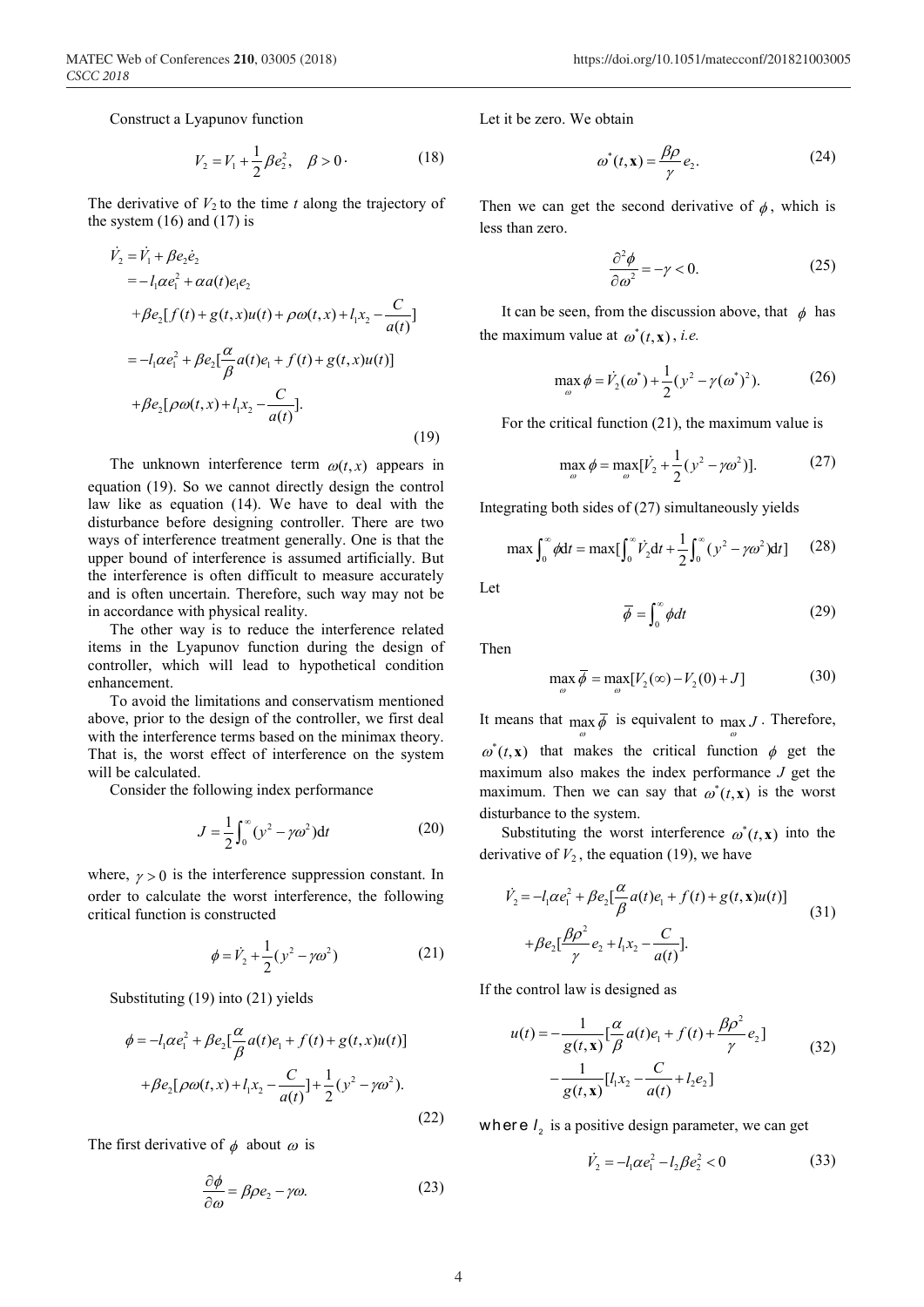Construct a Lyapunov function

$$
V_2 = V_1 + \frac{1}{2}\beta e_2^2, \quad \beta > 0.
$$
 (18)

The derivative of  $V_2$  to the time *t* along the trajectory of the system  $(16)$  and  $(17)$  is

$$
\dot{V}_2 = \dot{V}_1 + \beta e_2 \dot{e}_2 \n= -l_1 \alpha e_1^2 + \alpha a(t) e_1 e_2 \n+ \beta e_2 [f(t) + g(t, x)u(t) + \rho \omega(t, x) + l_1 x_2 - \frac{C}{a(t)}] \n= -l_1 \alpha e_1^2 + \beta e_2 [\frac{\alpha}{\beta} a(t) e_1 + f(t) + g(t, x)u(t)] \n+ \beta e_2 [\rho \omega(t, x) + l_1 x_2 - \frac{C}{a(t)}].
$$
\n(19)

The unknown interference term  $\omega(t, x)$  appears in equation (19). So we cannot directly design the control law like as equation (14). We have to deal with the disturbance before designing controller. There are two ways of interference treatment generally. One is that the upper bound of interference is assumed artificially. But the interference is often difficult to measure accurately and is often uncertain. Therefore, such way may not be in accordance with physical reality.

The other way is to reduce the interference related items in the Lyapunov function during the design of controller, which will lead to hypothetical condition enhancement.

To avoid the limitations and conservatism mentioned above, prior to the design of the controller, we first deal with the interference terms based on the minimax theory. That is, the worst effect of interference on the system will be calculated.

Consider the following index performance

$$
J = \frac{1}{2} \int_0^\infty (y^2 - \gamma \omega^2) dt
$$
 (20)

where,  $\gamma > 0$  is the interference suppression constant. In order to calculate the worst interference, the following critical function is constructed

$$
\phi = \dot{V}_2 + \frac{1}{2} (y^2 - \gamma \omega^2)
$$
 (21)

Substituting (19) into (21) yields

$$
\phi = -l_1 \alpha e_1^2 + \beta e_2 \left[ \frac{\alpha}{\beta} a(t) e_1 + f(t) + g(t, x) u(t) \right]
$$
  
+ 
$$
\beta e_2 [\rho \omega(t, x) + l_1 x_2 - \frac{C}{a(t)}] + \frac{1}{2} (y^2 - \gamma \omega^2).
$$
 (22)

The first derivative of  $\phi$  about  $\omega$  is

$$
\frac{\partial \phi}{\partial \omega} = \beta \rho e_2 - \gamma \omega. \tag{23}
$$

Let it be zero. We obtain

$$
\omega^*(t, \mathbf{x}) = \frac{\beta \rho}{\gamma} e_2.
$$
 (24)

Then we can get the second derivative of  $\phi$ , which is less than zero.

$$
\frac{\partial^2 \phi}{\partial \omega^2} = -\gamma < 0. \tag{25}
$$

It can be seen, from the discussion above, that  $\phi$  has the maximum value at  $\omega^*(t, \mathbf{x})$ , *i.e.* 

$$
\max_{\omega} \phi = \dot{V}_2(\omega^*) + \frac{1}{2} (y^2 - \gamma (\omega^*)^2). \tag{26}
$$

For the critical function (21), the maximum value is

$$
\max_{\omega} \phi = \max_{\omega} [\dot{V}_2 + \frac{1}{2} (y^2 - \gamma \omega^2)].
$$
 (27)

Integrating both sides of (27) simultaneously yields

$$
\max \int_0^\infty \phi dt = \max \left[ \int_0^\infty \dot{V}_2 dt + \frac{1}{2} \int_0^\infty (y^2 - \gamma \omega^2) dt \right] \tag{28}
$$

Let

$$
\overline{\phi} = \int_0^\infty \phi dt \tag{29}
$$

Then

$$
\max_{\omega} \overline{\phi} = \max_{\omega} [V_2(\infty) - V_2(0) + J] \tag{30}
$$

It means that  $\max \overline{\phi}$  is equivalent to  $\max J$ . Therefore, ω ω  $\omega^*(t, x)$  that makes the critical function  $\phi$  get the maximum also makes the index performance *J* get the maximum. Then we can say that  $\omega^*(t, \mathbf{x})$  is the worst disturbance to the system.

Substituting the worst interference  $\omega^*(t, x)$  into the derivative of  $V_2$ , the equation (19), we have

$$
\dot{V}_2 = -l_1 \alpha e_1^2 + \beta e_2 \left[ \frac{\alpha}{\beta} a(t) e_1 + f(t) + g(t, \mathbf{x}) u(t) \right]
$$
  
+ 
$$
\beta e_2 \left[ \frac{\beta \rho^2}{\gamma} e_2 + l_1 x_2 - \frac{C}{a(t)} \right].
$$
 (31)

If the control law is designed as

$$
u(t) = -\frac{1}{g(t, \mathbf{x})} \left[ \frac{\alpha}{\beta} a(t) e_1 + f(t) + \frac{\beta \rho^2}{\gamma} e_2 \right] - \frac{1}{g(t, \mathbf{x})} \left[ l_1 x_2 - \frac{C}{a(t)} + l_2 e_2 \right]
$$
 (32)

where  $l_2$  is a positive design parameter, we can get

$$
\dot{V}_2 = -l_1 \alpha e_1^2 - l_2 \beta e_2^2 < 0 \tag{33}
$$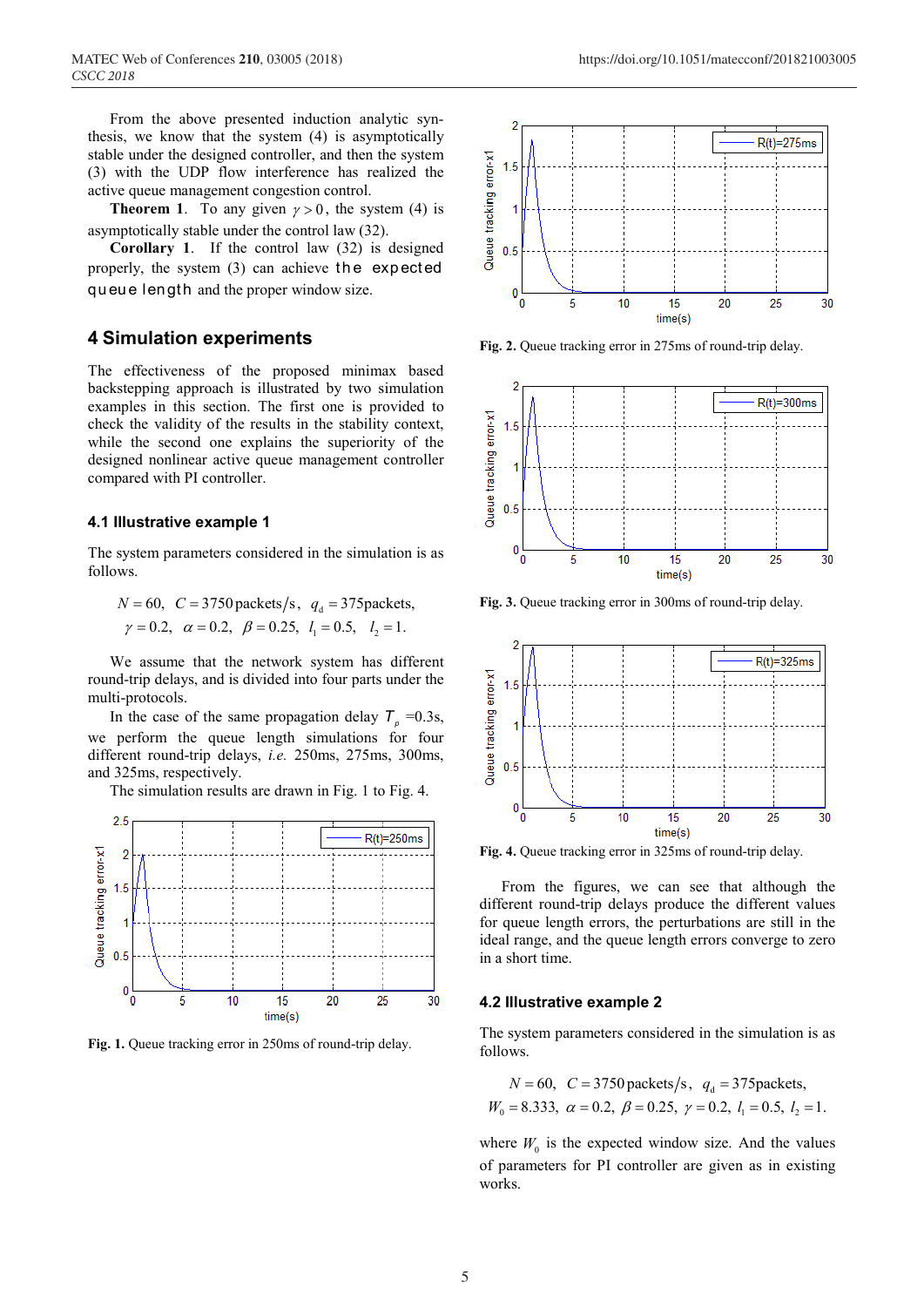From the above presented induction analytic synthesis, we know that the system (4) is asymptotically stable under the designed controller, and then the system (3) with the UDP flow interference has realized the active queue management congestion control.

**Theorem 1**. To any given  $\gamma > 0$ , the system (4) is asymptotically stable under the control law (32).

**Corollary 1**. If the control law (32) is designed properly, the system  $(3)$  can achieve the expected queue length and the proper window size.

# **4 Simulation experiments**

The effectiveness of the proposed minimax based backstepping approach is illustrated by two simulation examples in this section. The first one is provided to check the validity of the results in the stability context, while the second one explains the superiority of the designed nonlinear active queue management controller compared with PI controller.

#### **4.1 Illustrative example 1**

The system parameters considered in the simulation is as follows.

$$
N = 60, \quad C = 3750 \text{ packets/s}, \quad q_{\text{d}} = 375 \text{ packets},
$$
\n
$$
\gamma = 0.2, \quad \alpha = 0.2, \quad \beta = 0.25, \quad l_1 = 0.5, \quad l_2 = 1.
$$

We assume that the network system has different round-trip delays, and is divided into four parts under the multi-protocols.

In the case of the same propagation delay  $T_p = 0.3$ s, we perform the queue length simulations for four different round-trip delays, *i.e.* 250ms, 275ms, 300ms, and 325ms, respectively.

The simulation results are drawn in Fig. 1 to Fig. 4.



**Fig. 1.** Queue tracking error in 250ms of round-trip delay.



**Fig. 2.** Queue tracking error in 275ms of round-trip delay.



**Fig. 3.** Queue tracking error in 300ms of round-trip delay.



**Fig. 4.** Queue tracking error in 325ms of round-trip delay.

From the figures, we can see that although the different round-trip delays produce the different values for queue length errors, the perturbations are still in the ideal range, and the queue length errors converge to zero in a short time.

# **4.2 Illustrative example 2**

The system parameters considered in the simulation is as follows.

$$
N = 60, \quad C = 3750 \text{ packets/s}, \quad q_{\text{d}} = 375 \text{ packets},
$$
\n
$$
W_0 = 8.333, \quad \alpha = 0.2, \quad \beta = 0.25, \quad \gamma = 0.2, \quad l_1 = 0.5, \quad l_2 = 1.
$$

where  $W_0$  is the expected window size. And the values of parameters for PI controller are given as in existing works.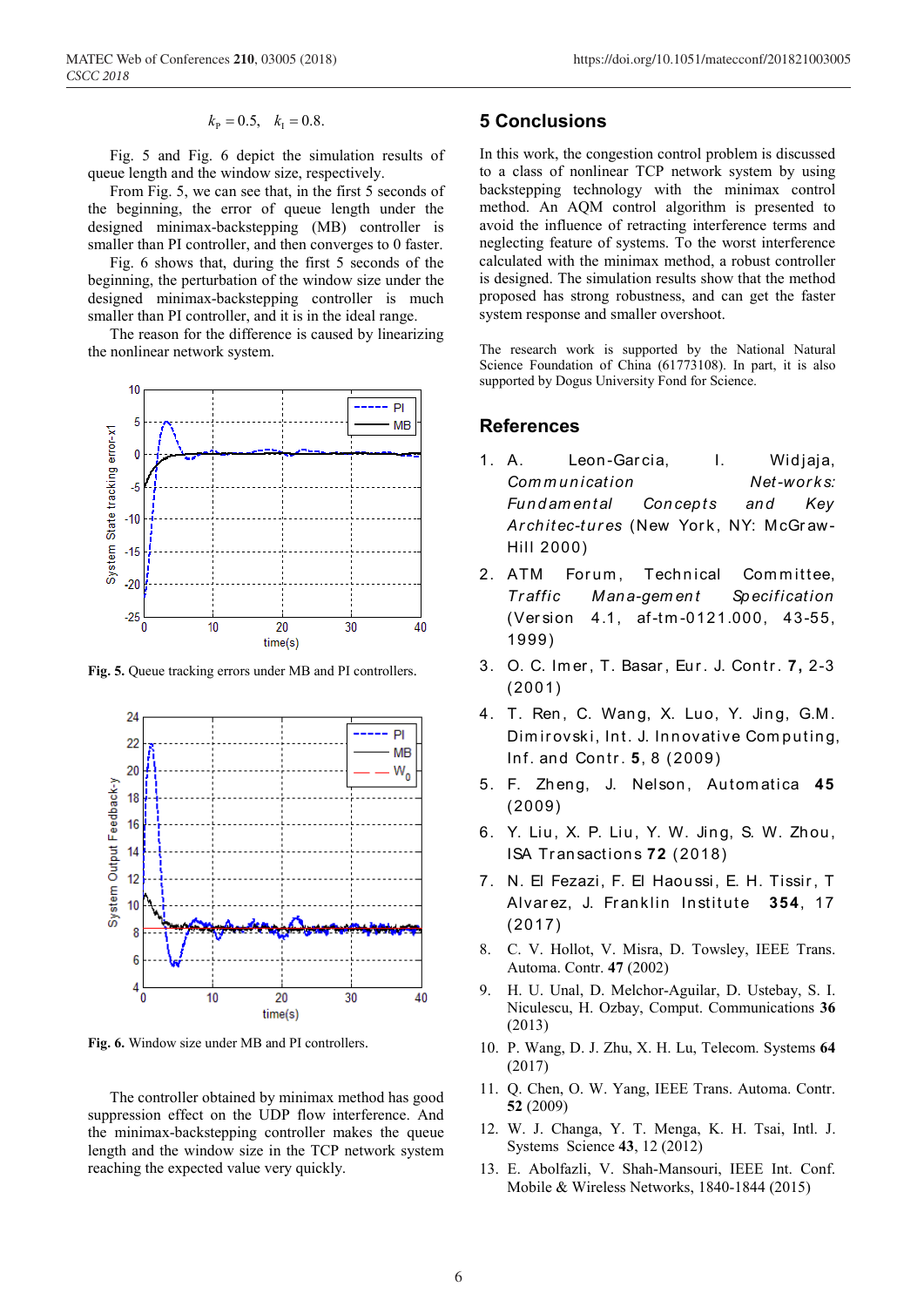$$
k_{\rm p} = 0.5, \quad k_{\rm I} = 0.8.
$$

Fig. 5 and Fig. 6 depict the simulation results of queue length and the window size, respectively.

From Fig. 5, we can see that, in the first 5 seconds of the beginning, the error of queue length under the designed minimax-backstepping (MB) controller is smaller than PI controller, and then converges to 0 faster.

Fig. 6 shows that, during the first 5 seconds of the beginning, the perturbation of the window size under the designed minimax-backstepping controller is much smaller than PI controller, and it is in the ideal range.

The reason for the difference is caused by linearizing the nonlinear network system.



**Fig. 5.** Queue tracking errors under MB and PI controllers.



**Fig. 6.** Window size under MB and PI controllers.

The controller obtained by minimax method has good suppression effect on the UDP flow interference. And the minimax-backstepping controller makes the queue length and the window size in the TCP network system reaching the expected value very quickly.

## **5 Conclusions**

In this work, the congestion control problem is discussed to a class of nonlinear TCP network system by using backstepping technology with the minimax control method. An AQM control algorithm is presented to avoid the influence of retracting interference terms and neglecting feature of systems. To the worst interference calculated with the minimax method, a robust controller is designed. The simulation results show that the method proposed has strong robustness, and can get the faster system response and smaller overshoot.

The research work is supported by the National Natural Science Foundation of China (61773108). In part, it is also supported by Dogus University Fond for Science.

## **References**

- 1. A. Leon-Garcia, I. Widjaja, *Com m un ication Net-wor ks: Fun d am en tal Con cepts an d Key Ar chitec-tur es* (New Yor k, NY: M cGr aw-Hill 2000)
- 2. ATM Forum, Technical Committee, *Traffic Mana-gem en t Sp ecification* (Ver sion 4.1, af-tm -0121.000, 43-55, 1999)
- 3. O. C. Im er , T. Basar , Eu r. J. Con tr. **7,** 2-3 (2001)
- 4. T. Ren, C. Wang, X. Luo, Y. Jing, G.M. Dimirovski, Int. J. Innovative Computing, Inf. an d Con tr. **5**, 8 (2009)
- 5. F. Zh en g, J. Nelson , Automatica **45** (2009)
- 6. Y. Liu, X. P. Liu, Y. W. Jing, S. W. Zhou, ISA Tr an sactions **72** (2018)
- 7. N. El Fezazi, F. El Haoussi, E. H. Tissir, T Alvar ez, J. Fr an klin In stitute **354**, 17 (2017)
- 8. C. V. Hollot, V. Misra, D. Towsley, IEEE Trans. Automa. Contr. **47** (2002)
- 9. H. U. Unal, D. Melchor-Aguilar, D. Ustebay, S. I. Niculescu, H. Ozbay, Comput. Communications **36** (2013)
- 10. P. Wang, D. J. Zhu, X. H. Lu, Telecom. Systems **64** (2017)
- 11. Q. Chen, O. W. Yang, IEEE Trans. Automa. Contr. **52** (2009)
- 12. W. J. Changa, Y. T. Menga, K. H. Tsai, Intl. J. Systems Science **43**, 12 (2012)
- 13. E. Abolfazli, V. Shah-Mansouri, IEEE Int. Conf. Mobile & Wireless Networks, 1840-1844 (2015)